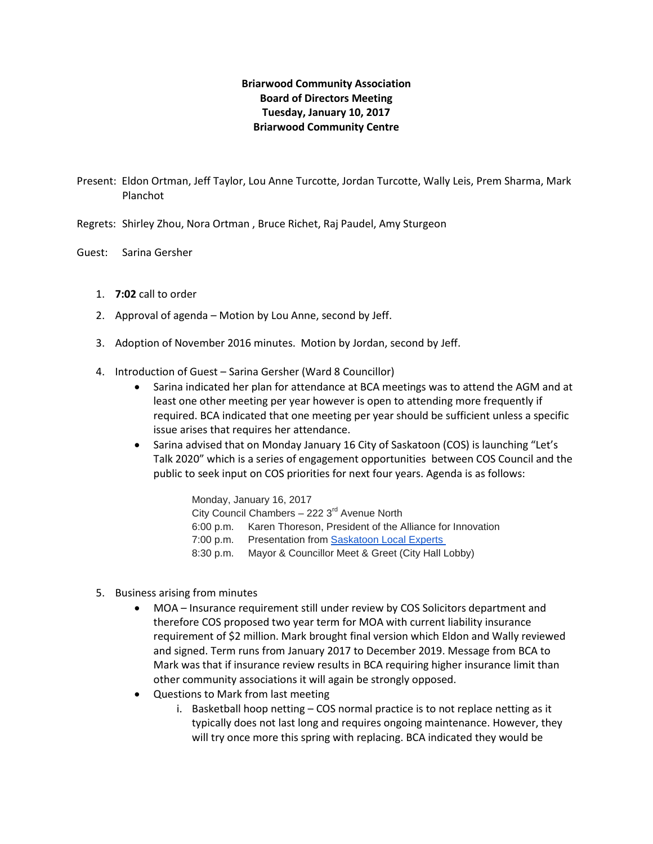# **Briarwood Community Association Board of Directors Meeting Tuesday, January 10, 2017 Briarwood Community Centre**

- Present: Eldon Ortman, Jeff Taylor, Lou Anne Turcotte, Jordan Turcotte, Wally Leis, Prem Sharma, Mark Planchot
- Regrets: Shirley Zhou, Nora Ortman , Bruce Richet, Raj Paudel, Amy Sturgeon
- Guest: Sarina Gersher
	- 1. **7:02** call to order
	- 2. Approval of agenda Motion by Lou Anne, second by Jeff.
	- 3. Adoption of November 2016 minutes. Motion by Jordan, second by Jeff.
	- 4. Introduction of Guest Sarina Gersher (Ward 8 Councillor)
		- Sarina indicated her plan for attendance at BCA meetings was to attend the AGM and at least one other meeting per year however is open to attending more frequently if required. BCA indicated that one meeting per year should be sufficient unless a specific issue arises that requires her attendance.
		- Sarina advised that on Monday January 16 City of Saskatoon (COS) is launching "Let's Talk 2020" which is a series of engagement opportunities between COS Council and the public to seek input on COS priorities for next four years. Agenda is as follows:

Monday, January 16, 2017 City Council Chambers - 222 3<sup>rd</sup> Avenue North 6:00 p.m. Karen Thoreson, President of the Alliance for Innovation 7:00 p.m. Presentation from [Saskatoon Local Experts](https://www.saskatoon.ca/sites/default/files/documents/lets_talk_2020_local_experts.pdf) 8:30 p.m. Mayor & Councillor Meet & Greet (City Hall Lobby)

- 5. Business arising from minutes
	- MOA Insurance requirement still under review by COS Solicitors department and therefore COS proposed two year term for MOA with current liability insurance requirement of \$2 million. Mark brought final version which Eldon and Wally reviewed and signed. Term runs from January 2017 to December 2019. Message from BCA to Mark was that if insurance review results in BCA requiring higher insurance limit than other community associations it will again be strongly opposed.
	- Questions to Mark from last meeting
		- i. Basketball hoop netting COS normal practice is to not replace netting as it typically does not last long and requires ongoing maintenance. However, they will try once more this spring with replacing. BCA indicated they would be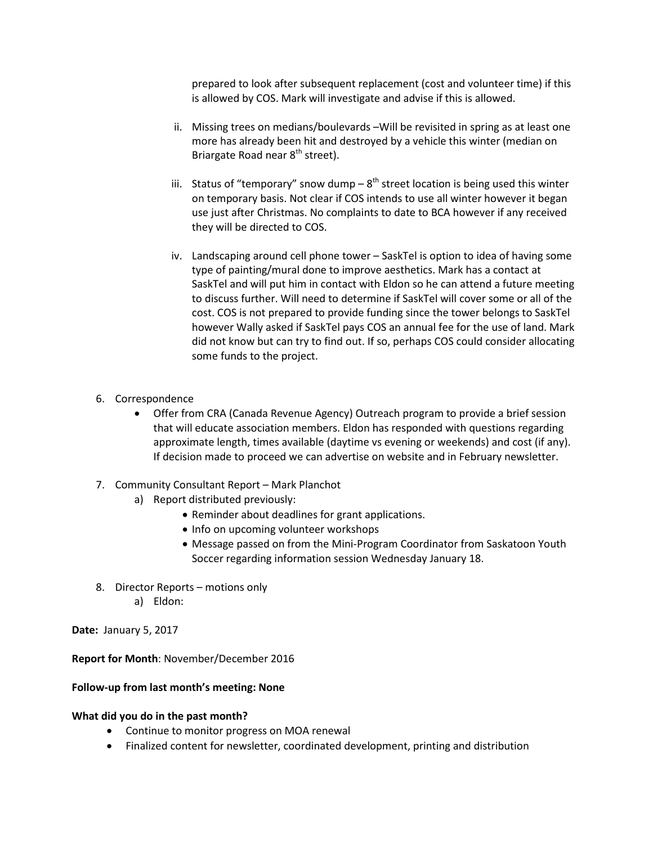prepared to look after subsequent replacement (cost and volunteer time) if this is allowed by COS. Mark will investigate and advise if this is allowed.

- ii. Missing trees on medians/boulevards –Will be revisited in spring as at least one more has already been hit and destroyed by a vehicle this winter (median on Briargate Road near 8<sup>th</sup> street).
- iii. Status of "temporary" snow dump  $-8$ <sup>th</sup> street location is being used this winter on temporary basis. Not clear if COS intends to use all winter however it began use just after Christmas. No complaints to date to BCA however if any received they will be directed to COS.
- iv. Landscaping around cell phone tower SaskTel is option to idea of having some type of painting/mural done to improve aesthetics. Mark has a contact at SaskTel and will put him in contact with Eldon so he can attend a future meeting to discuss further. Will need to determine if SaskTel will cover some or all of the cost. COS is not prepared to provide funding since the tower belongs to SaskTel however Wally asked if SaskTel pays COS an annual fee for the use of land. Mark did not know but can try to find out. If so, perhaps COS could consider allocating some funds to the project.
- 6. Correspondence
	- Offer from CRA (Canada Revenue Agency) Outreach program to provide a brief session that will educate association members. Eldon has responded with questions regarding approximate length, times available (daytime vs evening or weekends) and cost (if any). If decision made to proceed we can advertise on website and in February newsletter.
- 7. Community Consultant Report Mark Planchot
	- a) Report distributed previously:
		- Reminder about deadlines for grant applications.
		- Info on upcoming volunteer workshops
		- Message passed on from the Mini-Program Coordinator from Saskatoon Youth Soccer regarding information session Wednesday January 18.
- 8. Director Reports motions only
	- a) Eldon:

**Date:** January 5, 2017

**Report for Month**: November/December 2016

#### **Follow-up from last month's meeting: None**

#### **What did you do in the past month?**

- Continue to monitor progress on MOA renewal
- Finalized content for newsletter, coordinated development, printing and distribution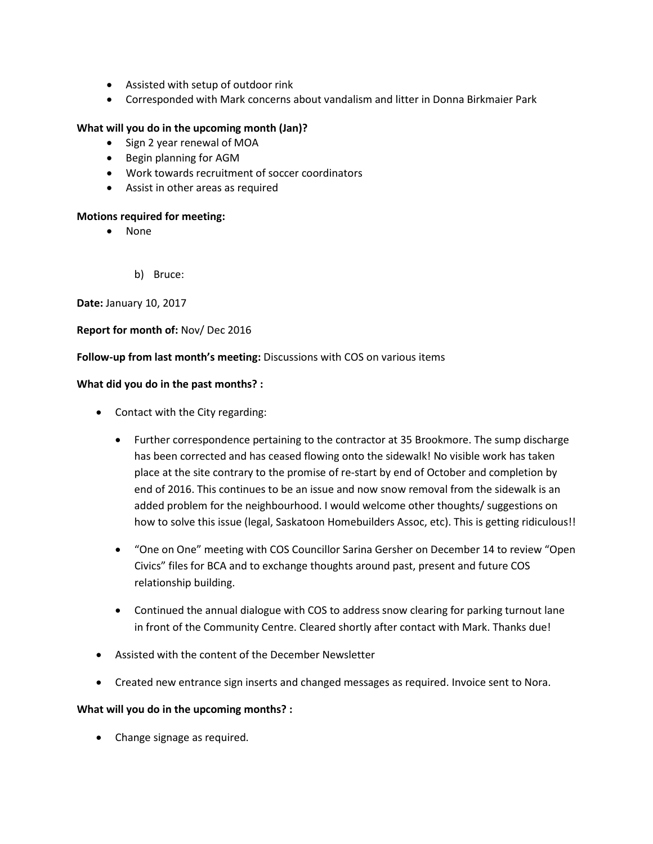- Assisted with setup of outdoor rink
- Corresponded with Mark concerns about vandalism and litter in Donna Birkmaier Park

## **What will you do in the upcoming month (Jan)?**

- Sign 2 year renewal of MOA
- Begin planning for AGM
- Work towards recruitment of soccer coordinators
- Assist in other areas as required

### **Motions required for meeting:**

- None
	- b) Bruce:

**Date:** January 10, 2017

### **Report for month of:** Nov/ Dec 2016

### **Follow-up from last month's meeting:** Discussions with COS on various items

### **What did you do in the past months? :**

- Contact with the City regarding:
	- Further correspondence pertaining to the contractor at 35 Brookmore. The sump discharge has been corrected and has ceased flowing onto the sidewalk! No visible work has taken place at the site contrary to the promise of re-start by end of October and completion by end of 2016. This continues to be an issue and now snow removal from the sidewalk is an added problem for the neighbourhood. I would welcome other thoughts/ suggestions on how to solve this issue (legal, Saskatoon Homebuilders Assoc, etc). This is getting ridiculous!!
	- "One on One" meeting with COS Councillor Sarina Gersher on December 14 to review "Open Civics" files for BCA and to exchange thoughts around past, present and future COS relationship building.
	- Continued the annual dialogue with COS to address snow clearing for parking turnout lane in front of the Community Centre. Cleared shortly after contact with Mark. Thanks due!
- Assisted with the content of the December Newsletter
- Created new entrance sign inserts and changed messages as required. Invoice sent to Nora.

### **What will you do in the upcoming months? :**

• Change signage as required.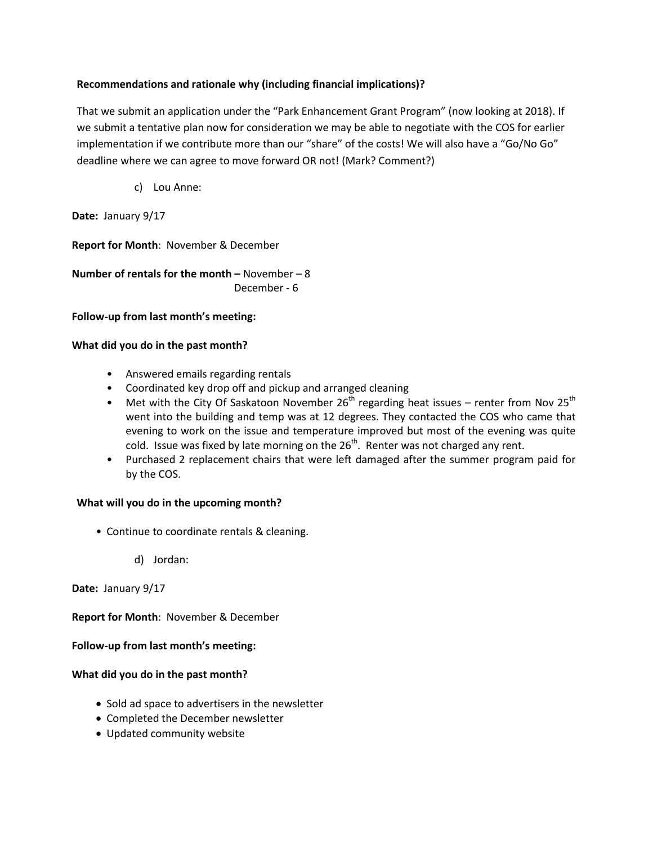# **Recommendations and rationale why (including financial implications)?**

That we submit an application under the "Park Enhancement Grant Program" (now looking at 2018). If we submit a tentative plan now for consideration we may be able to negotiate with the COS for earlier implementation if we contribute more than our "share" of the costs! We will also have a "Go/No Go" deadline where we can agree to move forward OR not! (Mark? Comment?)

c) Lou Anne:

**Date:** January 9/17

**Report for Month**: November & December

**Number of rentals for the month –** November – 8 December - 6

**Follow-up from last month's meeting:** 

### **What did you do in the past month?**

- Answered emails regarding rentals
- Coordinated key drop off and pickup and arranged cleaning
- Met with the City Of Saskatoon November 26<sup>th</sup> regarding heat issues renter from Nov 25<sup>th</sup> went into the building and temp was at 12 degrees. They contacted the COS who came that evening to work on the issue and temperature improved but most of the evening was quite cold. Issue was fixed by late morning on the  $26<sup>th</sup>$ . Renter was not charged any rent.
- Purchased 2 replacement chairs that were left damaged after the summer program paid for by the COS.

### **What will you do in the upcoming month?**

- Continue to coordinate rentals & cleaning.
	- d) Jordan:

**Date:** January 9/17

**Report for Month**: November & December

**Follow-up from last month's meeting:** 

### **What did you do in the past month?**

- Sold ad space to advertisers in the newsletter
- Completed the December newsletter
- Updated community website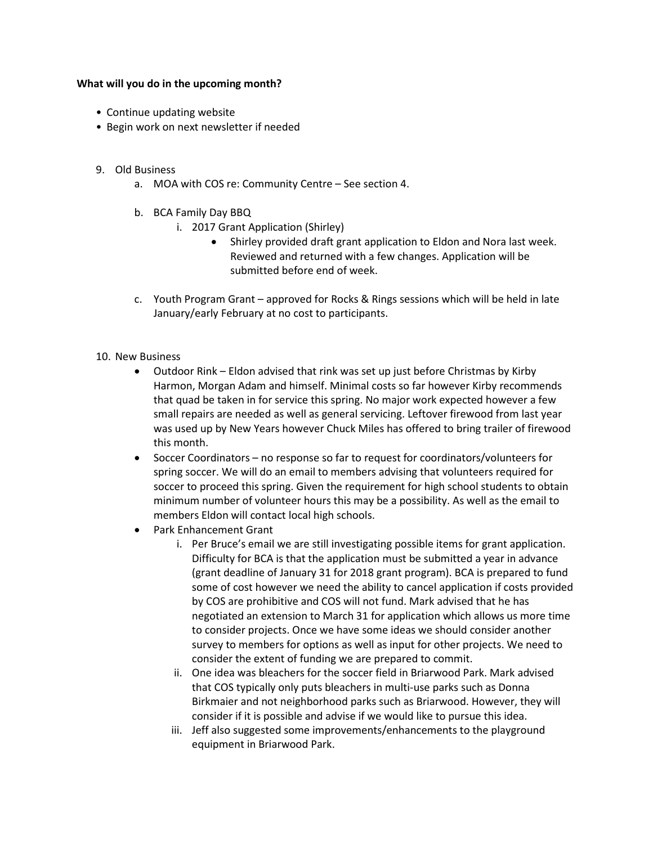#### **What will you do in the upcoming month?**

- Continue updating website
- Begin work on next newsletter if needed
- 9. Old Business
	- a. MOA with COS re: Community Centre See section 4.
	- b. BCA Family Day BBQ
		- i. 2017 Grant Application (Shirley)
			- Shirley provided draft grant application to Eldon and Nora last week. Reviewed and returned with a few changes. Application will be submitted before end of week.
	- c. Youth Program Grant approved for Rocks & Rings sessions which will be held in late January/early February at no cost to participants.
- 10. New Business
	- Outdoor Rink Eldon advised that rink was set up just before Christmas by Kirby Harmon, Morgan Adam and himself. Minimal costs so far however Kirby recommends that quad be taken in for service this spring. No major work expected however a few small repairs are needed as well as general servicing. Leftover firewood from last year was used up by New Years however Chuck Miles has offered to bring trailer of firewood this month.
	- Soccer Coordinators no response so far to request for coordinators/volunteers for spring soccer. We will do an email to members advising that volunteers required for soccer to proceed this spring. Given the requirement for high school students to obtain minimum number of volunteer hours this may be a possibility. As well as the email to members Eldon will contact local high schools.
	- Park Enhancement Grant
		- i. Per Bruce's email we are still investigating possible items for grant application. Difficulty for BCA is that the application must be submitted a year in advance (grant deadline of January 31 for 2018 grant program). BCA is prepared to fund some of cost however we need the ability to cancel application if costs provided by COS are prohibitive and COS will not fund. Mark advised that he has negotiated an extension to March 31 for application which allows us more time to consider projects. Once we have some ideas we should consider another survey to members for options as well as input for other projects. We need to consider the extent of funding we are prepared to commit.
		- ii. One idea was bleachers for the soccer field in Briarwood Park. Mark advised that COS typically only puts bleachers in multi-use parks such as Donna Birkmaier and not neighborhood parks such as Briarwood. However, they will consider if it is possible and advise if we would like to pursue this idea.
		- iii. Jeff also suggested some improvements/enhancements to the playground equipment in Briarwood Park.